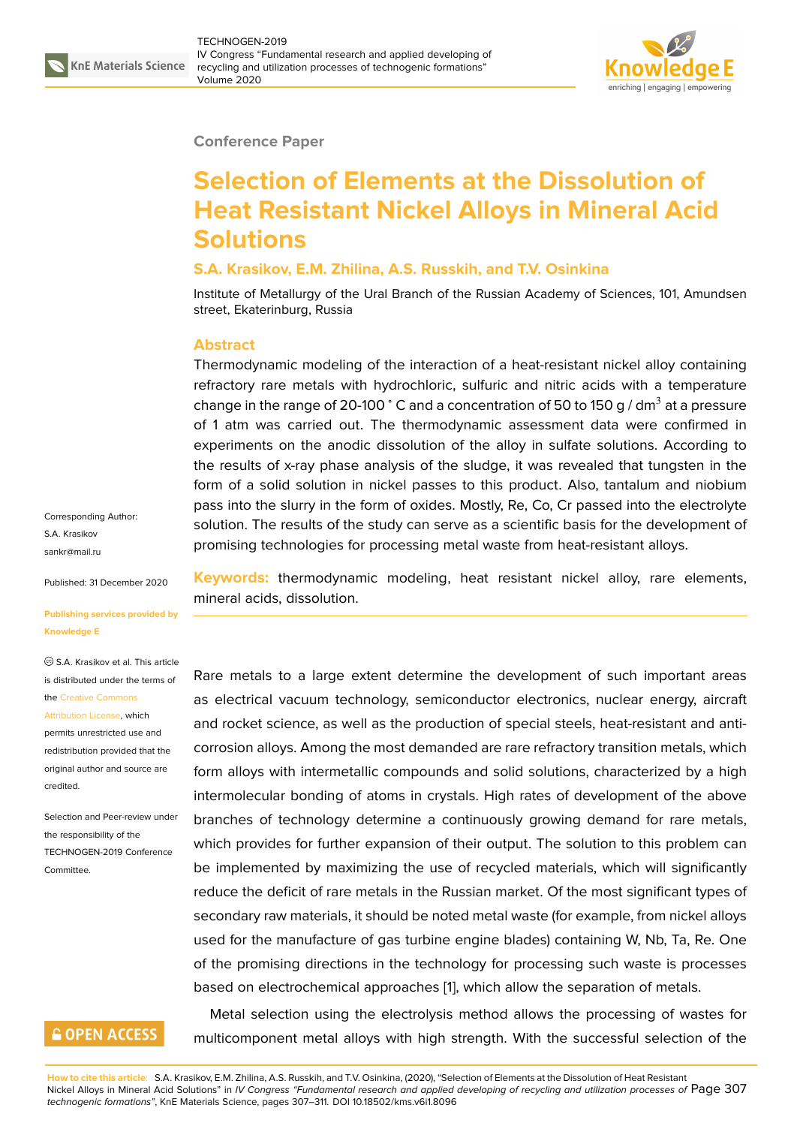

#### **Conference Paper**

# **Selection of Elements at the Dissolution of Heat Resistant Nickel Alloys in Mineral Acid Solutions**

### **S.A. Krasikov, E.M. Zhilina, A.S. Russkih, and T.V. Osinkina**

Institute of Metallurgy of the Ural Branch of the Russian Academy of Sciences, 101, Amundsen street, Ekaterinburg, Russia

### **Abstract**

Thermodynamic modeling of the interaction of a heat-resistant nickel alloy containing refractory rare metals with hydrochloric, sulfuric and nitric acids with a temperature change in the range of 20-100 ° C and a concentration of 50 to 150 g / dm $^3$  at a pressure of 1 atm was carried out. The thermodynamic assessment data were confirmed in experiments on the anodic dissolution of the alloy in sulfate solutions. According to the results of x-ray phase analysis of the sludge, it was revealed that tungsten in the form of a solid solution in nickel passes to this product. Also, tantalum and niobium pass into the slurry in the form of oxides. Mostly, Re, Co, Cr passed into the electrolyte solution. The results of the study can serve as a scientific basis for the development of promising technologies for processing metal waste from heat-resistant alloys.

Corresponding Author: S.A. Krasikov sankr@mail.ru

Published: 31 December 2020

#### **[Publishing ser](mailto:sankr@mail.ru)vices provided by Knowledge E**

S.A. Krasikov et al. This article is distributed under the terms of the Creative Commons

Attribution License, which permits unrestricted use and redistribution provided that the orig[inal author and sou](https://creativecommons.org/licenses/by/4.0/)rce are [credited.](https://creativecommons.org/licenses/by/4.0/)

Selection and Peer-review under the responsibility of the TECHNOGEN-2019 Conference Committee.

## **GOPEN ACCESS**

**Keywords:** thermodynamic modeling, heat resistant nickel alloy, rare elements, mineral acids, dissolution.

Rare metals to a large extent determine the development of such important areas as electrical vacuum technology, semiconductor electronics, nuclear energy, aircraft and rocket science, as well as the production of special steels, heat-resistant and anticorrosion alloys. Among the most demanded are rare refractory transition metals, which form alloys with intermetallic compounds and solid solutions, characterized by a high intermolecular bonding of atoms in crystals. High rates of development of the above branches of technology determine a continuously growing demand for rare metals, which provides for further expansion of their output. The solution to this problem can be implemented by maximizing the use of recycled materials, which will significantly reduce the deficit of rare metals in the Russian market. Of the most significant types of secondary raw materials, it should be noted metal waste (for example, from nickel alloys used for the manufacture of gas turbine engine blades) containing W, Nb, Ta, Re. One of the promising directions in the technology for processing such waste is processes based on electrochemical approaches [1], which allow the separation of metals.

Metal selection using the electrolysis method allows the processing of wastes for multicomponent metal alloys with high strength. With the successful selection of the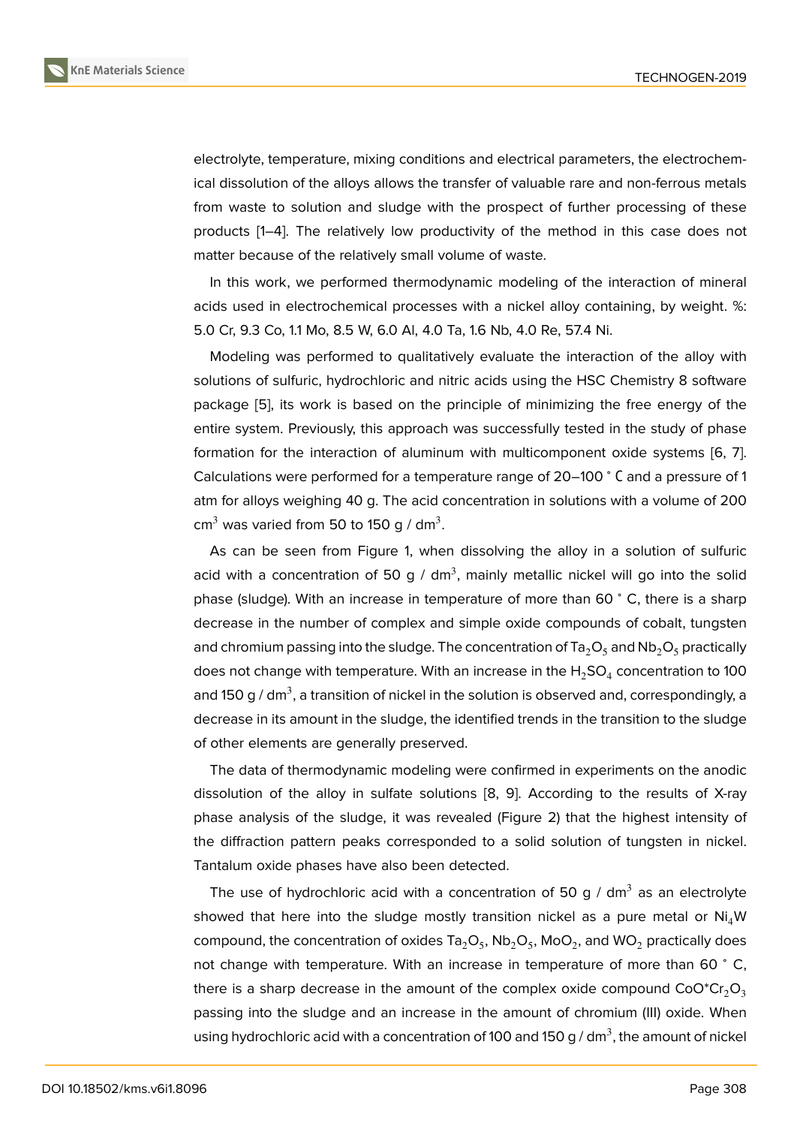electrolyte, temperature, mixing conditions and electrical parameters, the electrochemical dissolution of the alloys allows the transfer of valuable rare and non-ferrous metals from waste to solution and sludge with the prospect of further processing of these products [1–4]. The relatively low productivity of the method in this case does not matter because of the relatively small volume of waste.

In this work, we performed thermodynamic modeling of the interaction of mineral acids use[d](#page-4-0) i[n](#page-4-1) electrochemical processes with a nickel alloy containing, by weight. %: 5.0 Cr, 9.3 Co, 1.1 Mo, 8.5 W, 6.0 Al, 4.0 Ta, 1.6 Nb, 4.0 Re, 57.4 Ni.

Modeling was performed to qualitatively evaluate the interaction of the alloy with solutions of sulfuric, hydrochloric and nitric acids using the HSC Chemistry 8 software package [5], its work is based on the principle of minimizing the free energy of the entire system. Previously, this approach was successfully tested in the study of phase formation for the interaction of aluminum with multicomponent oxide systems [6, 7]. Calculatio[ns](#page-4-2) were performed for a temperature range of 20–100 <sup>∘</sup> С and a pressure of 1 atm for alloys weighing 40 g. The acid concentration in solutions with a volume of 200 cm $^3$  was varied from 50 to 150 g / dm $^3.$ 

As can be seen from Figure 1, when dissolving the alloy in a solution of sulfuric acid with a concentration of 50 g / dm<sup>3</sup>, mainly metallic nickel will go into the solid phase (sludge). With an increase in temperature of more than 60 <sup>∘</sup> C, there is a sharp decrease in the number of com[pl](#page-2-0)ex and simple oxide compounds of cobalt, tungsten and chromium passing into the sludge. The concentration of Ta<sub>2</sub>O<sub>5</sub> and Nb<sub>2</sub>O<sub>5</sub> practically does not change with temperature. With an increase in the  $\rm{H_2SO_4}$  concentration to 100 and 150 g / dm $^3$ , a transition of nickel in the solution is observed and, correspondingly, a decrease in its amount in the sludge, the identified trends in the transition to the sludge of other elements are generally preserved.

The data of thermodynamic modeling were confirmed in experiments on the anodic dissolution of the alloy in sulfate solutions [8, 9]. According to the results of X-ray phase analysis of the sludge, it was revealed (Figure 2) that the highest intensity of the diffraction pattern peaks corresponded to a solid solution of tungsten in nickel. Tantalum oxide phases have also been detec[te](#page-4-3)[d.](#page-4-4)

The use [of](#page-2-1) hydrochloric acid with a concentration of 50 g / dm<sup>3</sup> as an electrolyte showed that here into the sludge mostly transition nickel as a pure metal or  $Ni<sub>4</sub>W$ compound, the concentration of oxides Ta $_2$ O<sub>5</sub>, Nb $_2$ O<sub>5</sub>, MoO $_2$ , and WO $_2$  practically does not change with temperature. With an increase in temperature of more than 60 °C, there is a sharp decrease in the amount of the complex oxide compound  $CoO<sup>*</sup>Cr<sub>2</sub>O<sub>3</sub>$ passing into the sludge and an increase in the amount of chromium (III) oxide. When using hydrochloric acid with a concentration of 100 and 150 g / dm $^3$ , the amount of nickel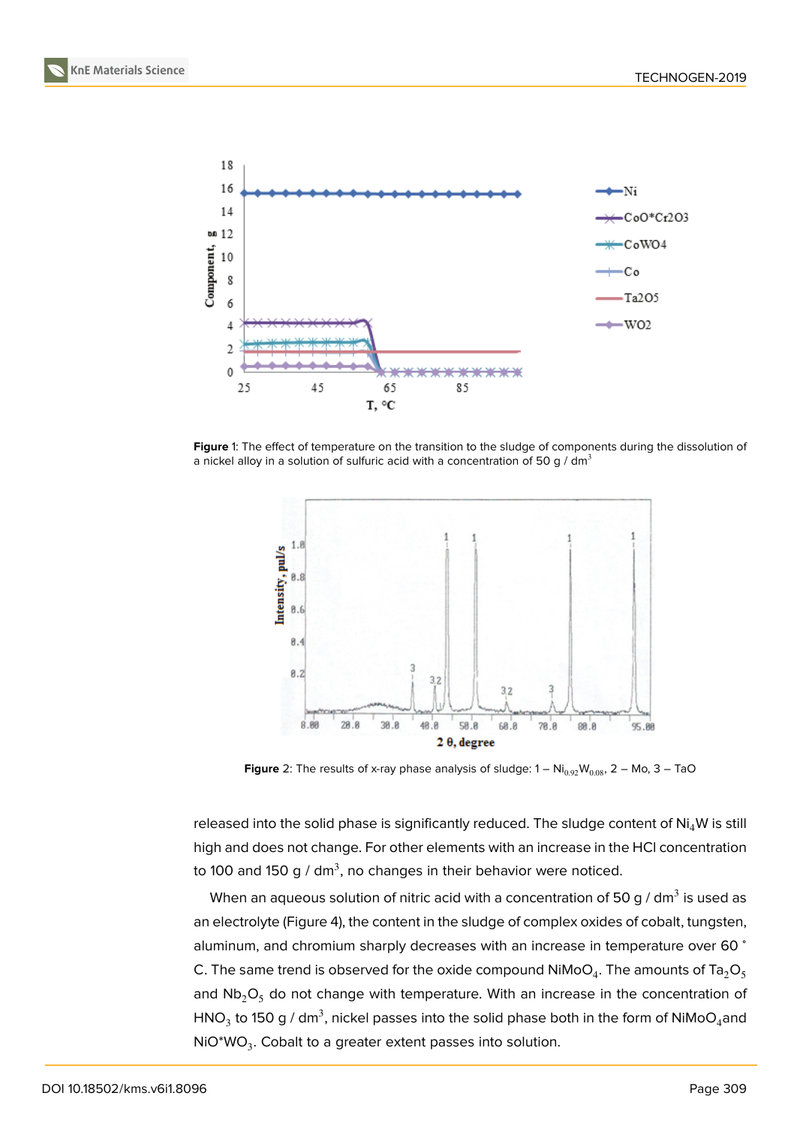

**Figure** 1: The effect of temperature on the transition to the sludge of components during the dissolution of a nickel alloy in a solution of sulfuric acid with a concentration of 50 g / dm<sup>3</sup>

<span id="page-2-0"></span>

<span id="page-2-1"></span>**Figure** 2: The results of x-ray phase analysis of sludge:  $1 - Ni_{0.92}W_{0.08}$ ,  $2 - Mo$ ,  $3 - TaO$ 

released into the solid phase is significantly reduced. The sludge content of  $Ni<sub>4</sub>W$  is still high and does not change. For other elements with an increase in the HCl concentration to 100 and 150 g / dm $^3$ , no changes in their behavior were noticed.

When an aqueous solution of nitric acid with a concentration of 50 g / dm $^3$  is used as an electrolyte (Figure 4), the content in the sludge of complex oxides of cobalt, tungsten, aluminum, and chromium sharply decreases with an increase in temperature over 60 <sup>∘</sup> C. The same trend is observed for the oxide compound NiMoO $_4$ . The amounts of Ta $_2$ O $_5$ and  $Nb<sub>2</sub>O<sub>5</sub>$  do not c[ha](#page-3-0)nge with temperature. With an increase in the concentration of HNO $_3$  to 150 g / dm $^3$ , nickel passes into the solid phase both in the form of NiMoO $_4$ and  $\mathsf{NiO^*WO}_3$ . Cobalt to a greater extent passes into solution.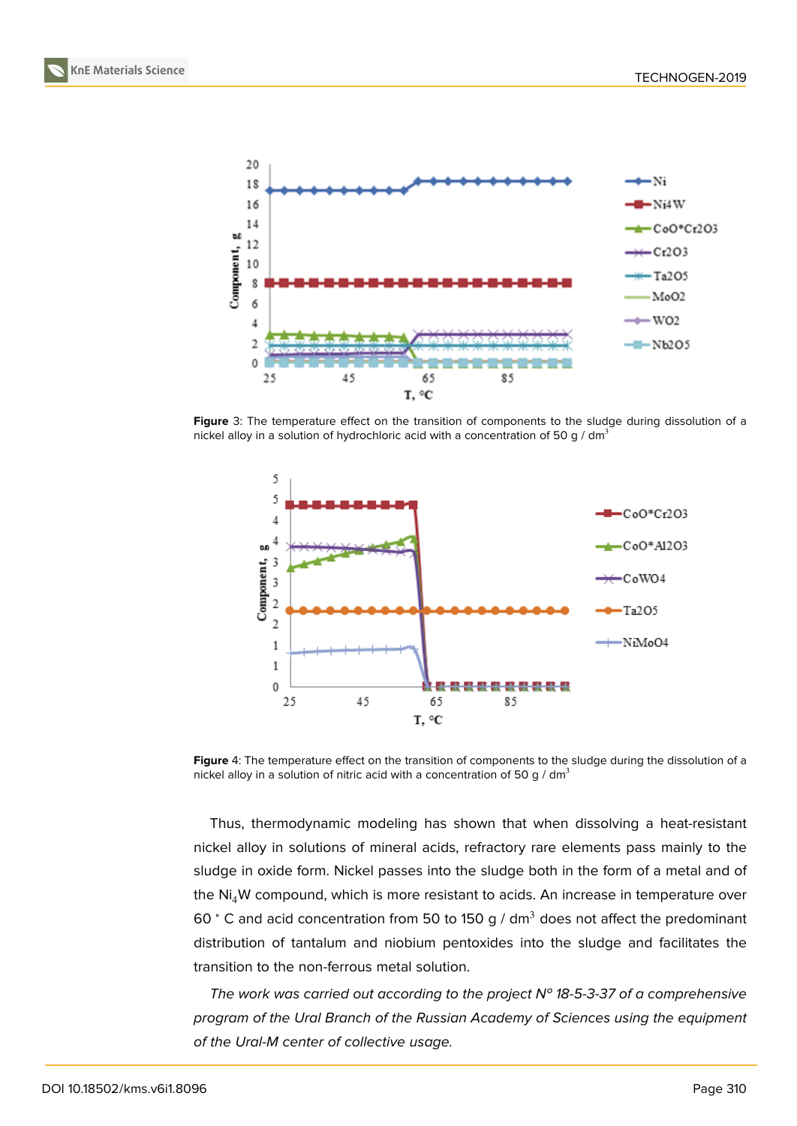



**Figure** 3: The temperature effect on the transition of components to the sludge during dissolution of a nickel alloy in a solution of hydrochloric acid with a concentration of 50 g / dm<sup>3</sup>



<span id="page-3-0"></span>**Figure** 4: The temperature effect on the transition of components to the sludge during the dissolution of a nickel alloy in a solution of nitric acid with a concentration of 50 g /  $dm<sup>3</sup>$ 

Thus, thermodynamic modeling has shown that when dissolving a heat-resistant nickel alloy in solutions of mineral acids, refractory rare elements pass mainly to the sludge in oxide form. Nickel passes into the sludge both in the form of a metal and of the  $Ni<sub>4</sub>W$  compound, which is more resistant to acids. An increase in temperature over 60 ° C and acid concentration from 50 to 150 g /  $dm<sup>3</sup>$  does not affect the predominant distribution of tantalum and niobium pentoxides into the sludge and facilitates the transition to the non-ferrous metal solution.

*The work was carried out according to the project № 18-5-3-37 of a comprehensive program of the Ural Branch of the Russian Academy of Sciences using the equipment of the Ural-M center of collective usage.*